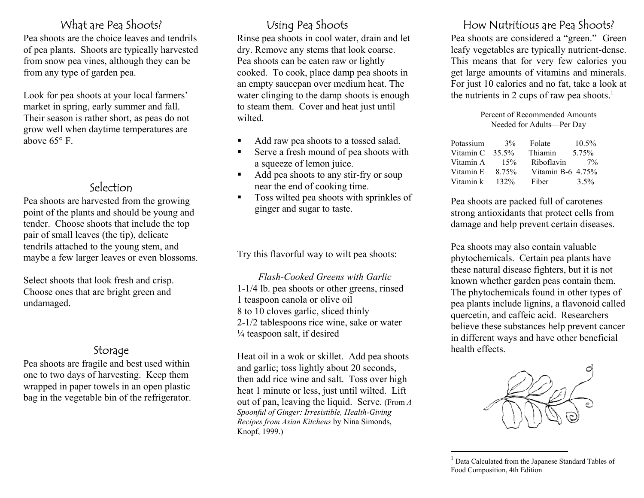Pea shoots are the choice leaves and tendrils of pea plants. Shoots are typically harvested from snow pea vines, although they can be from any type of garden pea.

market in spring, early sum mer and fall. Their season is rather short, as peas do not grow well when daytime temperatures are above 65° F.

Pea shoots are harvested from the growing point of the plants and should be young and tender. Choose shoots that include the top pair of small leaves (the tip), delicate tendrils attached to the young stem, and maybe a few larger leaves or even blossoms.

Choose ones that are bright green and undam aged.

<span id="page-0-0"></span>Pea shoots are fragile and best used within one to two days of harvesting. Keep them wrapped in paper towels in an open plastic bag in the vegetable bin of the refrigerator.

Rinse pea shoots in cool water, drain and let dry. Remove any stems that look coarse. Pea shoots can be eaten raw or lightly cooked. To cook, place damp pea shoots in an empty saucepan over m edium heat. The water clinging to the damp shoots is enough to steam them. Cover and heat just until wilted. Look for pea shoots at your local farmers' water clinging to the damp shoots is enough the nutrients in 2 cups of raw pea shoots.<sup>[1](#page-0-0)</sup>

- Add raw pea shoots to a tossed salad.
- Serve a fresh mound of pea shoots with a squeeze of lemon juice.
- Add pea shoots to any stir-fry or soup Selection near the end of cooking time.
	- Toss wilted pea shoots with sprinkles of ginger and sugar to taste.

Try this flavorful way to wilt pea shoots:

**Select shoots that look fresh and crisp.** Flash-Cooked Greens with Garlic 1-1/4 lb. pea shoots or other greens, rinsed 1 teaspoon canola or olive oil 8 to 10 cloves garlic, sliced thinly 2-1/2 tablespoons rice wine, sake or water  $\frac{1}{4}$  teaspoon salt, if desired

> Storage Heat oil in a wok or skillet. Add pea shoots and garlic; toss lightly about 20 seconds, then add rice wine and salt. Toss over high heat 1 minute or less, just until wilted. Lift out of pan, leaving the liquid. Serve. (From *<sup>A</sup> Spoonful of Ginger: Irresistible, Health-Giving Recipes from Asian Kitchens* by Nina Si monds, Knopf, 1999.)

## What are Pea Shoots? Using Pea Shoots Measurement How Nutritious are Pea Shoots?

Pea shoots are considered a "green." Green leafy vegetables are typically nutrient-dense. This means that for very few calories you get large amounts of vitamins and minerals. For just 10 calories and no fat, take a look at

> Percent of Recommended Amounts Needed for Adults—Per Day

| Potassium | 3%       | Folate               | $10.5\%$ |
|-----------|----------|----------------------|----------|
| Vitamin C | $35.5\%$ | Thiamin              | 5.75%    |
| Vitamin A | 15%      | Riboflavin           | $7\%$    |
| Vitamin E | 8.75%    | Vitamin B-6 $4.75\%$ |          |
| Vitamin k | 132%     | Fiber                | $3.5\%$  |

Pea shoots are packed full of carotenes strong antioxidants that protect cells from dam age and help prevent certain diseases.

Pea shoots may also contain valuable phytochemicals. Certain pea plants have these natural disease fighters, but it is not known whether garden peas contain them. The phytochemicals found in other types of pea plants include lignins, a flavonoid called quercetin, and caffeic acid. Researchers believe these substances help prevent cancer in different ways and have other beneficial health effects.



<sup>&</sup>lt;sup>1</sup> Data Calculated from the Japanese Standard Tables of Food Composition, 4th Edition.